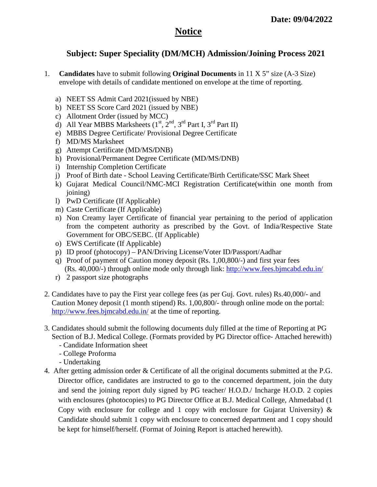## **Notice**

### **Subject: Super Speciality (DM/MCH) Admission/Joining Process 2021**

- 1. **Candidates** have to submit following **Original Documents** in 11 X 5" size (A-3 Size) envelope with details of candidate mentioned on envelope at the time of reporting.
	- a) NEET SS Admit Card 2021(issued by NBE)
	- b) NEET SS Score Card 2021 (issued by NBE)
	- c) Allotment Order (issued by MCC)
	- d) All Year MBBS Marksheets  $(1<sup>st</sup>, 2<sup>nd</sup>, 3<sup>rd</sup> Part I, 3<sup>rd</sup> Part II)$
	- e) MBBS Degree Certificate/ Provisional Degree Certificate
	- f) MD/MS Marksheet
	- g) Attempt Certificate (MD/MS**/**DNB)
	- h) Provisional/Permanent Degree Certificate (MD/MS/DNB)
	- i) Internship Completion Certificate
	- j) Proof of Birth date School Leaving Certificate/Birth Certificate/SSC Mark Sheet
	- k) Gujarat Medical Council/NMC-MCI Registration Certificate(within one month from joining)
	- l) PwD Certificate (If Applicable)
	- m) Caste Certificate (If Applicable)
	- n) Non Creamy layer Certificate of financial year pertaining to the period of application from the competent authority as prescribed by the Govt. of India/Respective State Government for OBC/SEBC. (If Applicable)
	- o) EWS Certificate (If Applicable)
	- p) ID proof (photocopy) PAN/Driving License/Voter ID/Passport/Aadhar
	- q) Proof of payment of Caution money deposit (Rs. 1,00,800/-) and first year fees (Rs. 40,000/-) through online mode only through link: http://www.fees.bjmcabd.edu.in/
	- r) 2 passport size photographs
- 2. Candidates have to pay the First year college fees (as per Guj. Govt. rules) Rs.40,000/- and Caution Money deposit (1 month stipend) Rs. 1,00,800/- through online mode on the portal: http://www.fees.bjmcabd.edu.in/ at the time of reporting.
- 3. Candidates should submit the following documents duly filled at the time of Reporting at PG Section of B.J. Medical College. (Formats provided by PG Director office- Attached herewith)
	- Candidate Information sheet
	- College Proforma
	- Undertaking
- 4. After getting admission order & Certificate of all the original documents submitted at the P.G. Director office, candidates are instructed to go to the concerned department, join the duty and send the joining report duly signed by PG teacher/ H.O.D./ Incharge H.O.D. 2 copies with enclosures (photocopies) to PG Director Office at B.J. Medical College, Ahmedabad (1 Copy with enclosure for college and 1 copy with enclosure for Gujarat University)  $\&$ Candidate should submit 1 copy with enclosure to concerned department and 1 copy should be kept for himself/herself. (Format of Joining Report is attached herewith).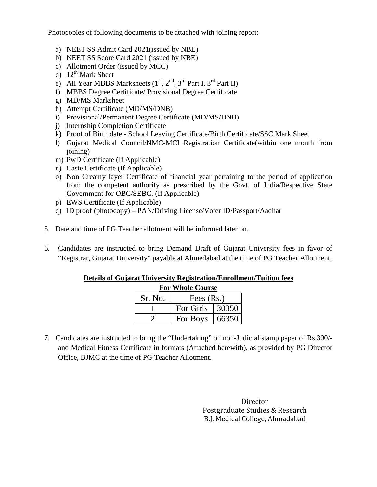Photocopies of following documents to be attached with joining report:

- a) NEET SS Admit Card 2021(issued by NBE)
- b) NEET SS Score Card 2021 (issued by NBE)
- c) Allotment Order (issued by MCC)
- d)  $12^{th}$  Mark Sheet
- e) All Year MBBS Marksheets  $(1<sup>st</sup>, 2<sup>nd</sup>, 3<sup>rd</sup> Part I, 3<sup>rd</sup> Part II)$
- f) MBBS Degree Certificate/ Provisional Degree Certificate
- g) MD/MS Marksheet
- h) Attempt Certificate (MD/MS/DNB)
- i) Provisional/Permanent Degree Certificate (MD/MS/DNB)
- j) Internship Completion Certificate
- k) Proof of Birth date School Leaving Certificate/Birth Certificate/SSC Mark Sheet
- l) Gujarat Medical Council/NMC-MCI Registration Certificate(within one month from joining)
- m) PwD Certificate (If Applicable)
- n) Caste Certificate (If Applicable)
- o) Non Creamy layer Certificate of financial year pertaining to the period of application from the competent authority as prescribed by the Govt. of India/Respective State Government for OBC/SEBC. (If Applicable)
- p) EWS Certificate (If Applicable)
- q) ID proof (photocopy) PAN/Driving License/Voter ID/Passport/Aadhar
- 5. Date and time of PG Teacher allotment will be informed later on.
- 6. Candidates are instructed to bring Demand Draft of Gujarat University fees in favor of "Registrar, Gujarat University" payable at Ahmedabad at the time of PG Teacher Allotment.

#### **Details of Gujarat University Registration/Enrollment/Tuition fees**

| <b>For Whole Course</b> |                         |       |  |  |
|-------------------------|-------------------------|-------|--|--|
| Sr. No.                 | Fees $(Rs.)$            |       |  |  |
|                         | For Girls $\vert$ 30350 |       |  |  |
|                         | For Boys                | 66350 |  |  |

7. Candidates are instructed to bring the "Undertaking" on non-Judicial stamp paper of Rs.300/ and Medical Fitness Certificate in formats (Attached herewith), as provided by PG Director Office, BJMC at the time of PG Teacher Allotment.

> Director Postgraduate Studies & Research B.J. Medical College, Ahmadabad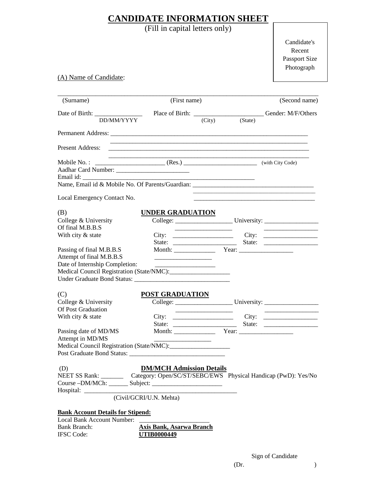### **CANDIDATE INFORMATION SHEET**

(Fill in capital letters only)

Candidate's Recent Passport Size Photograph

(A) Name of Candidate:

| (Surname)                                                                               |                                                                                                                       | (First name)                                     |                |  |
|-----------------------------------------------------------------------------------------|-----------------------------------------------------------------------------------------------------------------------|--------------------------------------------------|----------------|--|
|                                                                                         |                                                                                                                       |                                                  |                |  |
| DD/MM/YYYY                                                                              |                                                                                                                       |                                                  | (City) (State) |  |
|                                                                                         |                                                                                                                       |                                                  |                |  |
| <b>Present Address:</b>                                                                 | <u> 1989 - Johann Stoff, deutscher Stoff, der Stoff, der Stoff, der Stoff, der Stoff, der Stoff, der Stoff, der S</u> |                                                  |                |  |
| Mobile No.:                                                                             | $\begin{tabular}{c c c} \hline \quad \quad & (with City Code) \end{tabular}$                                          |                                                  |                |  |
| Email id:                                                                               |                                                                                                                       |                                                  |                |  |
|                                                                                         |                                                                                                                       |                                                  |                |  |
| Local Emergency Contact No.                                                             |                                                                                                                       |                                                  |                |  |
| (B)                                                                                     | <b>UNDER GRADUATION</b>                                                                                               |                                                  |                |  |
| College & University<br>Of final M.B.B.S                                                |                                                                                                                       |                                                  |                |  |
| With city & state                                                                       |                                                                                                                       |                                                  |                |  |
|                                                                                         |                                                                                                                       |                                                  |                |  |
| Passing of final M.B.B.S<br>Attempt of final M.B.B.S                                    |                                                                                                                       |                                                  |                |  |
| Date of Internship Completion:                                                          |                                                                                                                       |                                                  |                |  |
|                                                                                         |                                                                                                                       |                                                  |                |  |
|                                                                                         |                                                                                                                       |                                                  |                |  |
| (C)                                                                                     | <b>POST GRADUATION</b>                                                                                                |                                                  |                |  |
| College & University                                                                    |                                                                                                                       |                                                  |                |  |
| <b>Of Post Graduation</b>                                                               |                                                                                                                       | and the control of the control of the control of |                |  |
| With city & state                                                                       |                                                                                                                       |                                                  |                |  |
|                                                                                         |                                                                                                                       |                                                  |                |  |
| Passing date of MD/MS                                                                   |                                                                                                                       |                                                  |                |  |
| Attempt in MD/MS                                                                        |                                                                                                                       |                                                  |                |  |
|                                                                                         |                                                                                                                       |                                                  |                |  |
|                                                                                         |                                                                                                                       |                                                  |                |  |
| (D)                                                                                     | <b>DM/MCH Admission Details</b>                                                                                       |                                                  |                |  |
| NEET SS Rank: ___________ Category: Open/SC/ST/SEBC/EWS Physical Handicap (PwD): Yes/No |                                                                                                                       |                                                  |                |  |
|                                                                                         |                                                                                                                       |                                                  |                |  |
|                                                                                         |                                                                                                                       |                                                  |                |  |
|                                                                                         | (Civil/GCRI/U.N. Mehta)                                                                                               |                                                  |                |  |
| <b>Bank Account Details for Stipend:</b>                                                |                                                                                                                       |                                                  |                |  |
| Local Bank Account Number:                                                              |                                                                                                                       |                                                  |                |  |
|                                                                                         |                                                                                                                       |                                                  |                |  |

Bank Branch: **Axis Bank, Asarwa Branch**<br>IFSC Code: **UTIB0000449** IFSC Code: **UTIB0000449**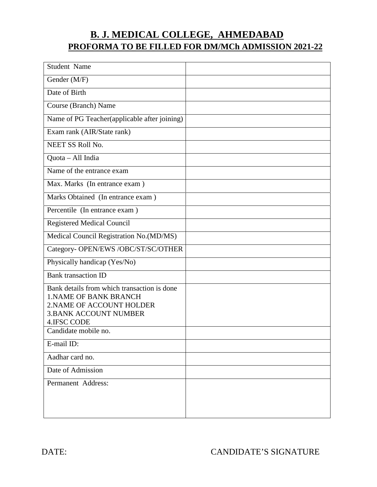# **B. J. MEDICAL COLLEGE, AHMEDABAD PROFORMA TO BE FILLED FOR DM/MCh ADMISSION 2021-22**

| <b>Student Name</b>                                                                                                                                            |  |
|----------------------------------------------------------------------------------------------------------------------------------------------------------------|--|
| Gender (M/F)                                                                                                                                                   |  |
| Date of Birth                                                                                                                                                  |  |
| Course (Branch) Name                                                                                                                                           |  |
| Name of PG Teacher(applicable after joining)                                                                                                                   |  |
| Exam rank (AIR/State rank)                                                                                                                                     |  |
| NEET SS Roll No.                                                                                                                                               |  |
| Quota - All India                                                                                                                                              |  |
| Name of the entrance exam                                                                                                                                      |  |
| Max. Marks (In entrance exam)                                                                                                                                  |  |
| Marks Obtained (In entrance exam)                                                                                                                              |  |
| Percentile (In entrance exam)                                                                                                                                  |  |
| <b>Registered Medical Council</b>                                                                                                                              |  |
| Medical Council Registration No.(MD/MS)                                                                                                                        |  |
| Category- OPEN/EWS /OBC/ST/SC/OTHER                                                                                                                            |  |
| Physically handicap (Yes/No)                                                                                                                                   |  |
| <b>Bank</b> transaction ID                                                                                                                                     |  |
| Bank details from which transaction is done<br><b>1.NAME OF BANK BRANCH</b><br>2. NAME OF ACCOUNT HOLDER<br><b>3.BANK ACCOUNT NUMBER</b><br><b>4.IFSC CODE</b> |  |
| Candidate mobile no.                                                                                                                                           |  |
| E-mail ID:                                                                                                                                                     |  |
| Aadhar card no.                                                                                                                                                |  |
| Date of Admission                                                                                                                                              |  |
| Permanent Address:                                                                                                                                             |  |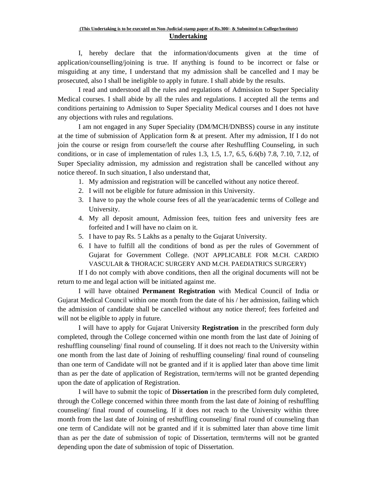I, hereby declare that the information/documents given at the time of application/counselling/joining is true. If anything is found to be incorrect or false or misguiding at any time, I understand that my admission shall be cancelled and I may be prosecuted, also I shall be ineligible to apply in future. I shall abide by the results.

 I read and understood all the rules and regulations of Admission to Super Speciality Medical courses. I shall abide by all the rules and regulations. I accepted all the terms and conditions pertaining to Admission to Super Speciality Medical courses and I does not have any objections with rules and regulations.

 I am not engaged in any Super Speciality (DM/MCH/DNBSS) course in any institute at the time of submission of Application form & at present. After my admission, If I do not join the course or resign from course/left the course after Reshuffling Counseling, in such conditions, or in case of implementation of rules 1.3, 1.5, 1.7, 6.5, 6.6(b) 7.8, 7.10, 7.12, of Super Speciality admission, my admission and registration shall be cancelled without any notice thereof. In such situation, I also understand that,

- 1. My admission and registration will be cancelled without any notice thereof.
- 2. I will not be eligible for future admission in this University.
- 3. I have to pay the whole course fees of all the year/academic terms of College and University.
- 4. My all deposit amount, Admission fees, tuition fees and university fees are forfeited and I will have no claim on it.
- 5. I have to pay Rs. 5 Lakhs as a penalty to the Gujarat University.
- 6. I have to fulfill all the conditions of bond as per the rules of Government of Gujarat for Government College. (NOT APPLICABLE FOR M.CH. CARDIO VASCULAR & THORACIC SURGERY AND M.CH. PAEDIATRICS SURGERY)

 If I do not comply with above conditions, then all the original documents will not be return to me and legal action will be initiated against me.

I will have obtained **Permanent Registration** with Medical Council of India or Gujarat Medical Council within one month from the date of his / her admission, failing which the admission of candidate shall be cancelled without any notice thereof; fees forfeited and will not be eligible to apply in future.

I will have to apply for Gujarat University **Registration** in the prescribed form duly completed, through the College concerned within one month from the last date of Joining of reshuffling counseling/ final round of counseling. If it does not reach to the University within one month from the last date of Joining of reshuffling counseling/ final round of counseling than one term of Candidate will not be granted and if it is applied later than above time limit than as per the date of application of Registration, term/terms will not be granted depending upon the date of application of Registration.

I will have to submit the topic of **Dissertation** in the prescribed form duly completed, through the College concerned within three month from the last date of Joining of reshuffling counseling/ final round of counseling. If it does not reach to the University within three month from the last date of Joining of reshuffling counseling/ final round of counseling than one term of Candidate will not be granted and if it is submitted later than above time limit than as per the date of submission of topic of Dissertation, term/terms will not be granted depending upon the date of submission of topic of Dissertation.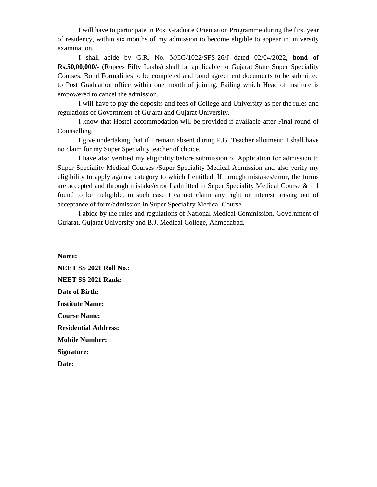I will have to participate in Post Graduate Orientation Programme during the first year of residency, within six months of my admission to become eligible to appear in university examination.

I shall abide by G.R. No. MCG/1022/SFS-26/J dated 02/04/2022, **bond of Rs.50,00,000/-** (Rupees Fifty Lakhs) shall be applicable to Gujarat State Super Speciality Courses. Bond Formalities to be completed and bond agreement documents to be submitted to Post Graduation office within one month of joining. Failing which Head of institute is empowered to cancel the admission.

I will have to pay the deposits and fees of College and University as per the rules and regulations of Government of Gujarat and Gujarat University.

I know that Hostel accommodation will be provided if available after Final round of Counselling.

I give undertaking that if I remain absent during P.G. Teacher allotment; I shall have no claim for my Super Speciality teacher of choice.

I have also verified my eligibility before submission of Application for admission to Super Speciality Medical Courses /Super Speciality Medical Admission and also verify my eligibility to apply against category to which I entitled. If through mistakes/error, the forms are accepted and through mistake/error I admitted in Super Speciality Medical Course & if I found to be ineligible, in such case I cannot claim any right or interest arising out of acceptance of form/admission in Super Speciality Medical Course.

I abide by the rules and regulations of National Medical Commission, Government of Gujarat, Gujarat University and B.J. Medical College, Ahmedabad.

**Name: NEET SS 2021 Roll No.: NEET SS 2021 Rank: Date of Birth: Institute Name: Course Name: Residential Address: Mobile Number: Signature:** 

**Date:**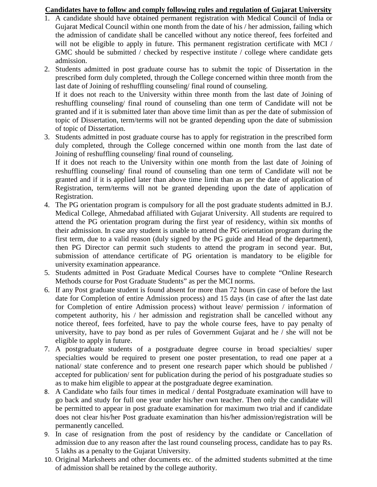#### **Candidates have to follow and comply following rules and regulation of Gujarat University**

- 1. A candidate should have obtained permanent registration with Medical Council of India or Gujarat Medical Council within one month from the date of his / her admission, failing which the admission of candidate shall be cancelled without any notice thereof, fees forfeited and will not be eligible to apply in future. This permanent registration certificate with MCI / GMC should be submitted / checked by respective institute / college where candidate gets admission.
- 2. Students admitted in post graduate course has to submit the topic of Dissertation in the prescribed form duly completed, through the College concerned within three month from the last date of Joining of reshuffling counseling/ final round of counseling. If it does not reach to the University within three month from the last date of Joining of reshuffling counseling/ final round of counseling than one term of Candidate will not be granted and if it is submitted later than above time limit than as per the date of submission of topic of Dissertation, term/terms will not be granted depending upon the date of submission of topic of Dissertation.
- 3. Students admitted in post graduate course has to apply for registration in the prescribed form duly completed, through the College concerned within one month from the last date of Joining of reshuffling counseling/ final round of counseling.

If it does not reach to the University within one month from the last date of Joining of reshuffling counseling/ final round of counseling than one term of Candidate will not be granted and if it is applied later than above time limit than as per the date of application of Registration, term/terms will not be granted depending upon the date of application of Registration.

- 4. The PG orientation program is compulsory for all the post graduate students admitted in B.J. Medical College, Ahmedabad affiliated with Gujarat University. All students are required to attend the PG orientation program during the first year of residency, within six months of their admission. In case any student is unable to attend the PG orientation program during the first term, due to a valid reason (duly signed by the PG guide and Head of the department), then PG Director can permit such students to attend the program in second year. But, submission of attendance certificate of PG orientation is mandatory to be eligible for university examination appearance.
- 5. Students admitted in Post Graduate Medical Courses have to complete "Online Research Methods course for Post Graduate Students" as per the MCI norms.
- 6. If any Post graduate student is found absent for more than 72 hours (in case of before the last date for Completion of entire Admission process) and 15 days (in case of after the last date for Completion of entire Admission process) without leave/ permission / information of competent authority, his / her admission and registration shall be cancelled without any notice thereof, fees forfeited, have to pay the whole course fees, have to pay penalty of university, have to pay bond as per rules of Government Gujarat and he / she will not be eligible to apply in future.
- 7. A postgraduate students of a postgraduate degree course in broad specialties/ super specialties would be required to present one poster presentation, to read one paper at a national/ state conference and to present one research paper which should be published / accepted for publication/ sent for publication during the period of his postgraduate studies so as to make him eligible to appear at the postgraduate degree examination.
- 8. A Candidate who fails four times in medical / dental Postgraduate examination will have to go back and study for full one year under his/her own teacher. Then only the candidate will be permitted to appear in post graduate examination for maximum two trial and if candidate does not clear his/her Post graduate examination than his/her admission/registration will be permanently cancelled.
- 9. In case of resignation from the post of residency by the candidate or Cancellation of admission due to any reason after the last round counseling process, candidate has to pay Rs. 5 lakhs as a penalty to the Gujarat University.
- 10. Original Marksheets and other documents etc. of the admitted students submitted at the time of admission shall be retained by the college authority.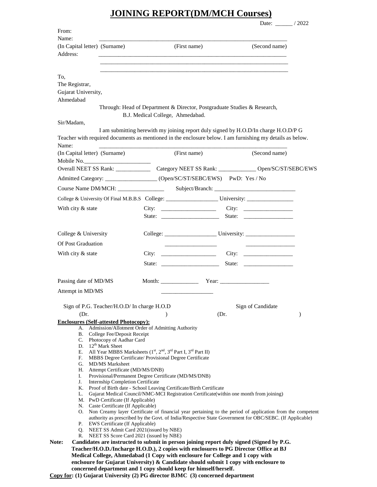## **JOINING REPORT(DM/MCH Courses)**

| From:                                                                                                                                                                                      |                                   |                                                                                                                                                                  |      | Date: $\frac{1}{2022}$                                 |               |
|--------------------------------------------------------------------------------------------------------------------------------------------------------------------------------------------|-----------------------------------|------------------------------------------------------------------------------------------------------------------------------------------------------------------|------|--------------------------------------------------------|---------------|
| Name:                                                                                                                                                                                      |                                   |                                                                                                                                                                  |      |                                                        |               |
| (In Capital letter) (Surname)                                                                                                                                                              |                                   | (First name)                                                                                                                                                     |      | (Second name)                                          |               |
| Address:                                                                                                                                                                                   |                                   |                                                                                                                                                                  |      |                                                        |               |
|                                                                                                                                                                                            |                                   |                                                                                                                                                                  |      |                                                        |               |
| To,                                                                                                                                                                                        |                                   |                                                                                                                                                                  |      |                                                        |               |
| The Registrar,                                                                                                                                                                             |                                   |                                                                                                                                                                  |      |                                                        |               |
| Gujarat University,                                                                                                                                                                        |                                   |                                                                                                                                                                  |      |                                                        |               |
| Ahmedabad                                                                                                                                                                                  |                                   |                                                                                                                                                                  |      |                                                        |               |
|                                                                                                                                                                                            |                                   | Through: Head of Department & Director, Postgraduate Studies & Research,                                                                                         |      |                                                        |               |
| Sir/Madam,                                                                                                                                                                                 |                                   | B.J. Medical College, Ahmedabad.                                                                                                                                 |      |                                                        |               |
|                                                                                                                                                                                            |                                   | I am submitting herewith my joining report duly signed by H.O.D/In charge H.O.D/P G                                                                              |      |                                                        |               |
| Teacher with required documents as mentioned in the enclosure below. I am furnishing my details as below.                                                                                  |                                   |                                                                                                                                                                  |      |                                                        |               |
| Name:                                                                                                                                                                                      |                                   |                                                                                                                                                                  |      |                                                        |               |
| (In Capital letter) (Surname)                                                                                                                                                              |                                   | (First name)                                                                                                                                                     |      | (Second name)                                          |               |
| Mobile No.                                                                                                                                                                                 |                                   |                                                                                                                                                                  |      |                                                        |               |
|                                                                                                                                                                                            |                                   |                                                                                                                                                                  |      |                                                        |               |
| Admitted Category: __________________(Open/SC/ST/SEBC/EWS) PwD: Yes / No                                                                                                                   |                                   |                                                                                                                                                                  |      |                                                        |               |
|                                                                                                                                                                                            |                                   |                                                                                                                                                                  |      |                                                        |               |
|                                                                                                                                                                                            |                                   |                                                                                                                                                                  |      |                                                        |               |
| With city & state                                                                                                                                                                          |                                   |                                                                                                                                                                  |      |                                                        |               |
|                                                                                                                                                                                            |                                   |                                                                                                                                                                  |      |                                                        |               |
|                                                                                                                                                                                            |                                   |                                                                                                                                                                  |      |                                                        |               |
| College & University                                                                                                                                                                       |                                   |                                                                                                                                                                  |      |                                                        |               |
| <b>Of Post Graduation</b>                                                                                                                                                                  |                                   | the property of the control of the control of                                                                                                                    |      | <u> 1990 - John Stein, markin film fan it ferstjer</u> |               |
| With city & state                                                                                                                                                                          |                                   |                                                                                                                                                                  |      |                                                        |               |
|                                                                                                                                                                                            |                                   | State: State: State:                                                                                                                                             |      |                                                        |               |
|                                                                                                                                                                                            |                                   |                                                                                                                                                                  |      |                                                        |               |
| Passing date of MD/MS                                                                                                                                                                      |                                   |                                                                                                                                                                  |      |                                                        |               |
|                                                                                                                                                                                            |                                   |                                                                                                                                                                  |      |                                                        |               |
| Attempt in MD/MS                                                                                                                                                                           |                                   |                                                                                                                                                                  |      |                                                        |               |
| Sign of P.G. Teacher/H.O.D/ In charge H.O.D                                                                                                                                                |                                   |                                                                                                                                                                  |      | Sign of Candidate                                      |               |
| (Dr.                                                                                                                                                                                       |                                   |                                                                                                                                                                  | (Dr. |                                                        | $\mathcal{E}$ |
| <b>Enclosures (Self-attested Photocopy):</b>                                                                                                                                               |                                   |                                                                                                                                                                  |      |                                                        |               |
| A. Admission/Allotment Order of Admitting Authority<br>B. College Fee/Deposit Receipt                                                                                                      |                                   |                                                                                                                                                                  |      |                                                        |               |
| C. Photocopy of Aadhar Card                                                                                                                                                                |                                   |                                                                                                                                                                  |      |                                                        |               |
| D. $12^{th}$ Mark Sheet<br>Е.                                                                                                                                                              |                                   | All Year MBBS Marksheets (1 <sup>st</sup> , 2 <sup>nd</sup> , 3 <sup>rd</sup> Part I, 3 <sup>rd</sup> Part II)                                                   |      |                                                        |               |
| F.                                                                                                                                                                                         |                                   | MBBS Degree Certificate/ Provisional Degree Certificate                                                                                                          |      |                                                        |               |
| G. MD/MS Marksheet                                                                                                                                                                         |                                   |                                                                                                                                                                  |      |                                                        |               |
| Н.<br>I.                                                                                                                                                                                   | Attempt Certificate (MD/MS/DNB)   | Provisional/Permanent Degree Certificate (MD/MS/DNB)                                                                                                             |      |                                                        |               |
| J.                                                                                                                                                                                         | Internship Completion Certificate |                                                                                                                                                                  |      |                                                        |               |
| L.                                                                                                                                                                                         |                                   | K. Proof of Birth date - School Leaving Certificate/Birth Certificate<br>Gujarat Medical Council/NMC-MCI Registration Certificate(within one month from joining) |      |                                                        |               |
| M. PwD Certificate (If Applicable)                                                                                                                                                         |                                   |                                                                                                                                                                  |      |                                                        |               |
| N. Caste Certificate (If Applicable)                                                                                                                                                       |                                   | O. Non Creamy layer Certificate of financial year pertaining to the period of application from the competent                                                     |      |                                                        |               |
|                                                                                                                                                                                            |                                   | authority as prescribed by the Govt. of India/Respective State Government for OBC/SEBC. (If Applicable)                                                          |      |                                                        |               |
| Р.<br>EWS Certificate (If Applicable)<br>Q. NEET SS Admit Card 2021 (issued by NBE)                                                                                                        |                                   |                                                                                                                                                                  |      |                                                        |               |
| R. NEET SS Score Card 2021 (issued by NBE)                                                                                                                                                 |                                   |                                                                                                                                                                  |      |                                                        |               |
|                                                                                                                                                                                            |                                   |                                                                                                                                                                  |      |                                                        |               |
| Candidates are instructed to submit in person joining report duly signed (Signed by P.G.<br>Note:<br>Teacher/H.O.D./Incharge H.O.D.), 2 copies with enclosures to PG Director Office at BJ |                                   |                                                                                                                                                                  |      |                                                        |               |

 **concerned department and 1 copy should keep for himself/herself.** 

**Copy for: (1) Gujarat University (2) PG director BJMC (3) concerned department**